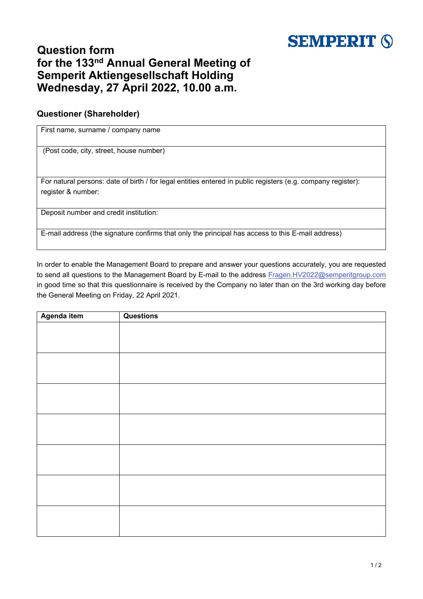

## **Question form for the 133 nd Annual General Meeting of Semperit Aktiengesellschaft Holding Wednesday, 27 April 2022, 10.00 a.m.**

## **Questioner (Shareholder)**

First name, surname / company name

(Post code, city, street, house number)

For natural persons: date of birth / for legal entities entered in public registers (e.g. company register): register & number:

Deposit number and credit institution:

E-mail address (the signature confirms that only the principal has access to this E-mail address)

In order to enable the Management Board to prepare and answer your questions accurately, you are requested to send all questions to the Management Board by E-mail to the address Fragen.HV2022[@semperitgroup.com](mailto:Fragen.HV2022@semperitgroup.com) in good time so that this questionnaire is received by the Company no later than on the 3rd working day before the General Meeting on Friday, 22 April 2021.

| Agenda item | <b>Questions</b> |
|-------------|------------------|
|             |                  |
|             |                  |
|             |                  |
|             |                  |
|             |                  |
|             |                  |
|             |                  |
|             |                  |
|             |                  |
|             |                  |
|             |                  |
|             |                  |
|             |                  |
|             |                  |
|             |                  |
|             |                  |
|             |                  |
|             |                  |
|             |                  |
|             |                  |